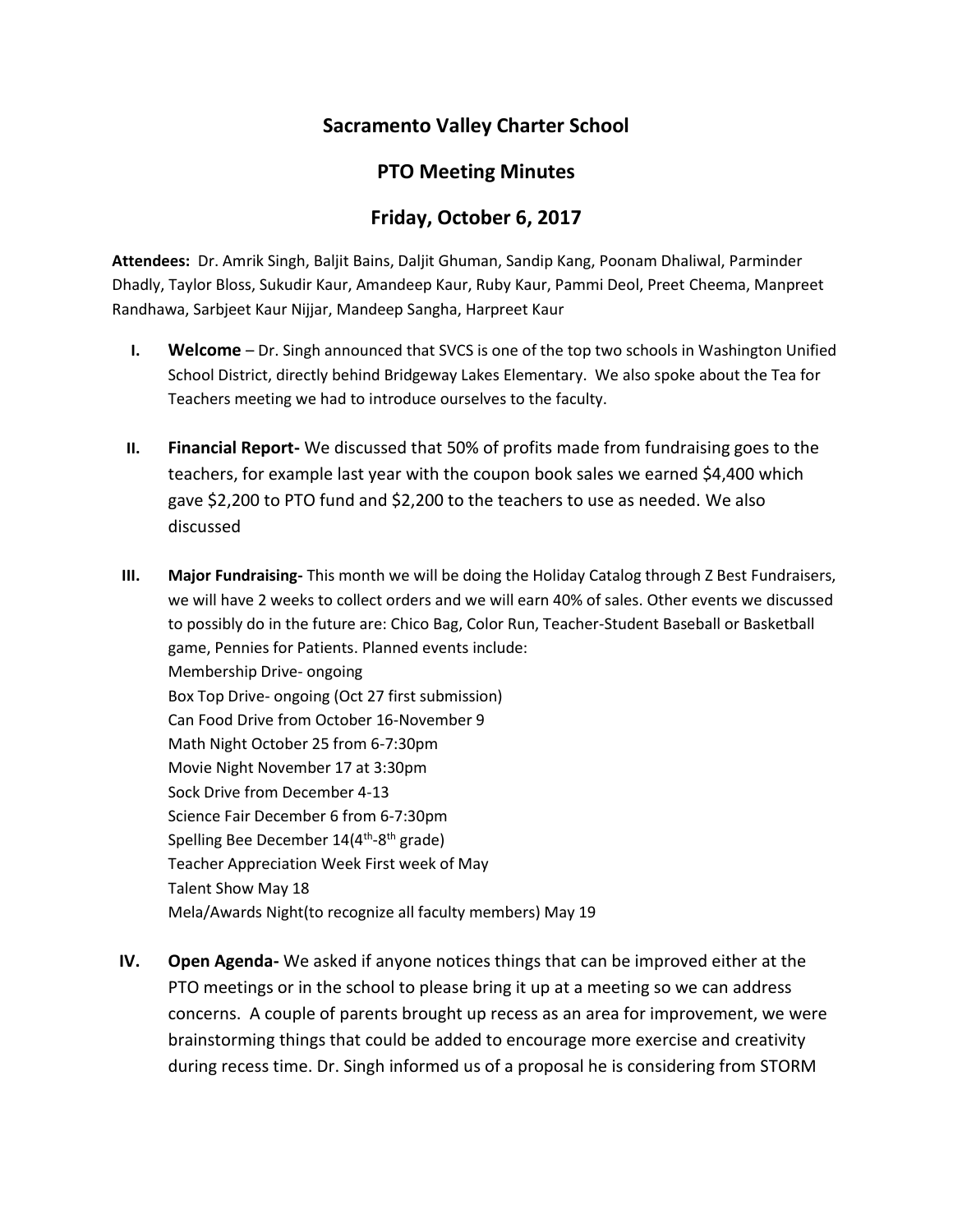## **Sacramento Valley Charter School**

## **PTO Meeting Minutes**

## **Friday, October 6, 2017**

**Attendees:** Dr. Amrik Singh, Baljit Bains, Daljit Ghuman, Sandip Kang, Poonam Dhaliwal, Parminder Dhadly, Taylor Bloss, Sukudir Kaur, Amandeep Kaur, Ruby Kaur, Pammi Deol, Preet Cheema, Manpreet Randhawa, Sarbjeet Kaur Nijjar, Mandeep Sangha, Harpreet Kaur

- **I. Welcome** Dr. Singh announced that SVCS is one of the top two schools in Washington Unified School District, directly behind Bridgeway Lakes Elementary. We also spoke about the Tea for Teachers meeting we had to introduce ourselves to the faculty.
- **II. Financial Report-** We discussed that 50% of profits made from fundraising goes to the teachers, for example last year with the coupon book sales we earned \$4,400 which gave \$2,200 to PTO fund and \$2,200 to the teachers to use as needed. We also discussed
- **III. Major Fundraising-** This month we will be doing the Holiday Catalog through Z Best Fundraisers, we will have 2 weeks to collect orders and we will earn 40% of sales. Other events we discussed to possibly do in the future are: Chico Bag, Color Run, Teacher-Student Baseball or Basketball game, Pennies for Patients. Planned events include: Membership Drive- ongoing Box Top Drive- ongoing (Oct 27 first submission) Can Food Drive from October 16-November 9 Math Night October 25 from 6-7:30pm Movie Night November 17 at 3:30pm Sock Drive from December 4-13 Science Fair December 6 from 6-7:30pm Spelling Bee December 14(4<sup>th</sup>-8<sup>th</sup> grade) Teacher Appreciation Week First week of May Talent Show May 18 Mela/Awards Night(to recognize all faculty members) May 19
- **IV. Open Agenda-** We asked if anyone notices things that can be improved either at the PTO meetings or in the school to please bring it up at a meeting so we can address concerns. A couple of parents brought up recess as an area for improvement, we were brainstorming things that could be added to encourage more exercise and creativity during recess time. Dr. Singh informed us of a proposal he is considering from STORM